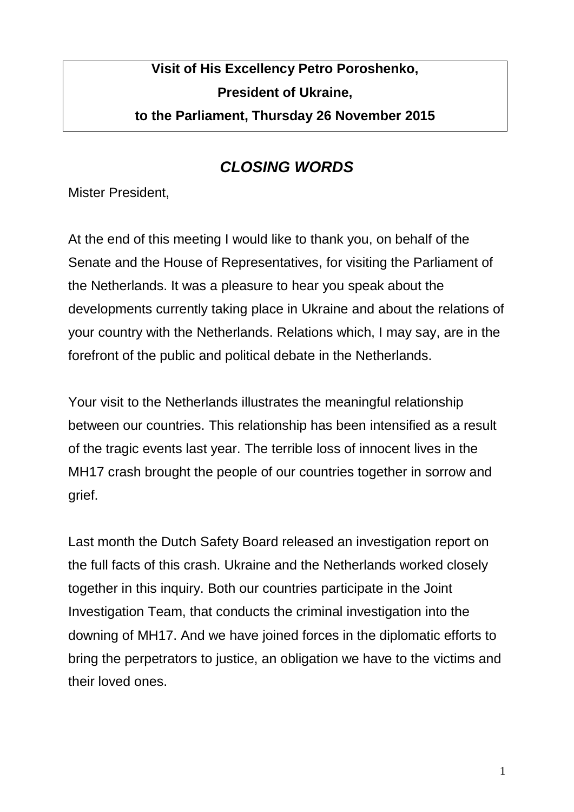## **Visit of His Excellency Petro Poroshenko, President of Ukraine, to the Parliament, Thursday 26 November 2015**

## *CLOSING WORDS*

Mister President,

At the end of this meeting I would like to thank you, on behalf of the Senate and the House of Representatives, for visiting the Parliament of the Netherlands. It was a pleasure to hear you speak about the developments currently taking place in Ukraine and about the relations of your country with the Netherlands. Relations which, I may say, are in the forefront of the public and political debate in the Netherlands.

Your visit to the Netherlands illustrates the meaningful relationship between our countries. This relationship has been intensified as a result of the tragic events last year. The terrible loss of innocent lives in the MH17 crash brought the people of our countries together in sorrow and grief.

Last month the Dutch Safety Board released an investigation report on the full facts of this crash. Ukraine and the Netherlands worked closely together in this inquiry. Both our countries participate in the Joint Investigation Team, that conducts the criminal investigation into the downing of MH17. And we have joined forces in the diplomatic efforts to bring the perpetrators to justice, an obligation we have to the victims and their loved ones.